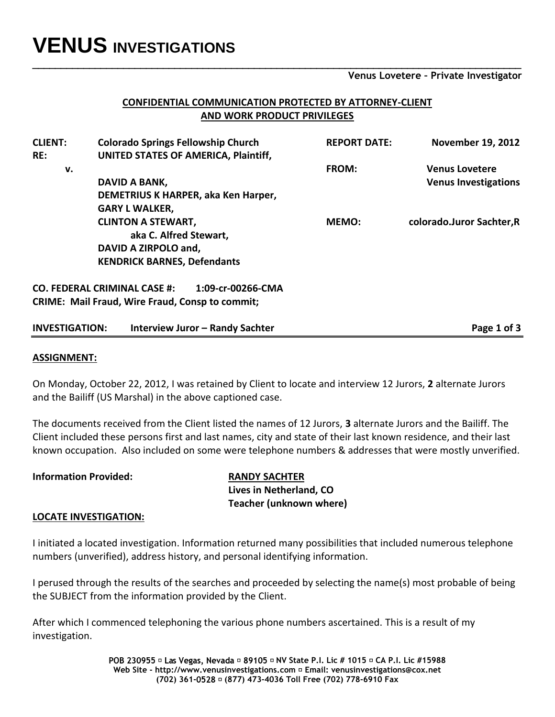# **VENUS INVESTIGATIONS**

**Venus Lovetere – Private Investigator**

## **CONFIDENTIAL COMMUNICATION PROTECTED BY ATTORNEY-CLIENT AND WORK PRODUCT PRIVILEGES**

**\_\_\_\_\_\_\_\_\_\_\_\_\_\_\_\_\_\_\_\_\_\_\_\_\_\_\_\_\_\_\_\_\_\_\_\_\_\_\_\_\_\_\_\_\_\_\_\_\_\_\_\_\_\_\_\_\_\_\_\_\_\_\_\_\_\_\_\_\_\_\_\_\_\_\_\_\_\_\_\_\_\_\_\_\_\_**

| <b>CLIENT:</b>        | <b>Colorado Springs Fellowship Church</b>                | <b>REPORT DATE:</b> | <b>November 19, 2012</b>    |
|-----------------------|----------------------------------------------------------|---------------------|-----------------------------|
| RE:                   | UNITED STATES OF AMERICA, Plaintiff,                     |                     |                             |
| v.                    |                                                          | FROM:               | <b>Venus Lovetere</b>       |
|                       | DAVID A BANK,                                            |                     | <b>Venus Investigations</b> |
|                       | DEMETRIUS K HARPER, aka Ken Harper,                      |                     |                             |
|                       | <b>GARY L WALKER,</b>                                    |                     |                             |
|                       | <b>CLINTON A STEWART,</b>                                | MEMO:               | colorado.Juror Sachter, R   |
|                       | aka C. Alfred Stewart,                                   |                     |                             |
|                       | DAVID A ZIRPOLO and,                                     |                     |                             |
|                       | <b>KENDRICK BARNES, Defendants</b>                       |                     |                             |
|                       | <b>CO. FEDERAL CRIMINAL CASE #:</b><br>1:09-cr-00266-CMA |                     |                             |
|                       | <b>CRIME: Mail Fraud, Wire Fraud, Consp to commit;</b>   |                     |                             |
| <b>INVESTIGATION:</b> | <b>Interview Juror - Randy Sachter</b>                   |                     | Page 1 of 3                 |

## **ASSIGNMENT:**

On Monday, October 22, 2012, I was retained by Client to locate and interview 12 Jurors, **2** alternate Jurors and the Bailiff (US Marshal) in the above captioned case.

The documents received from the Client listed the names of 12 Jurors, **3** alternate Jurors and the Bailiff. The Client included these persons first and last names, city and state of their last known residence, and their last known occupation. Also included on some were telephone numbers & addresses that were mostly unverified.

| <b>Information Provided:</b> | <b>RANDY SACHTER</b>           |  |
|------------------------------|--------------------------------|--|
|                              | Lives in Netherland, CO        |  |
|                              | <b>Teacher (unknown where)</b> |  |

## **LOCATE INVESTIGATION:**

I initiated a located investigation. Information returned many possibilities that included numerous telephone numbers (unverified), address history, and personal identifying information.

I perused through the results of the searches and proceeded by selecting the name(s) most probable of being the SUBJECT from the information provided by the Client.

After which I commenced telephoning the various phone numbers ascertained. This is a result of my investigation.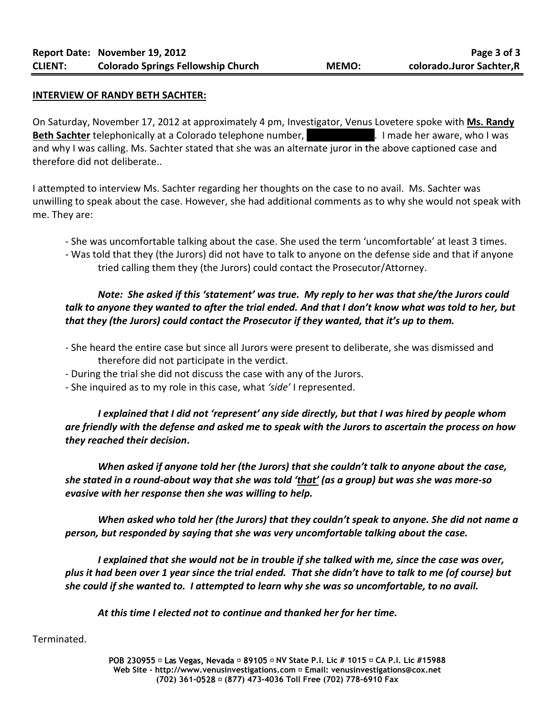#### **INTERVIEW OF RANDY BETH SACHTER:**

On Saturday, November 17, 2012 at approximately 4 pm, Investigator, Venus Lovetere spoke with **Ms. Randy Beth Sachter** telephonically at a Colorado telephone number, **1988-791** 258-805. I made her aware, who I was and why I was calling. Ms. Sachter stated that she was an alternate juror in the above captioned case and therefore did not deliberate..

I attempted to interview Ms. Sachter regarding her thoughts on the case to no avail. Ms. Sachter was unwilling to speak about the case. However, she had additional comments as to why she would not speak with me. They are:

- She was uncomfortable talking about the case. She used the term 'uncomfortable' at least 3 times.
- Was told that they (the Jurors) did not have to talk to anyone on the defense side and that if anyone tried calling them they (the Jurors) could contact the Prosecutor/Attorney.

# *Note: She asked if this 'statement' was true. My reply to her was that she/the Jurors could talk to anyone they wanted to after the trial ended. And that I don't know what was told to her, but that they (the Jurors) could contact the Prosecutor if they wanted, that it's up to them.*

- She heard the entire case but since all Jurors were present to deliberate, she was dismissed and therefore did not participate in the verdict.
- During the trial she did not discuss the case with any of the Jurors.
- She inquired as to my role in this case, what *'side'* I represented.

*I explained that I did not 'represent' any side directly, but that I was hired by people whom are friendly with the defense and asked me to speak with the Jurors to ascertain the process on how they reached their decision***.** 

*When asked if anyone told her (the Jurors) that she couldn't talk to anyone about the case, she stated in a round-about way that she was told 'that' (as a group) but was she was more-so evasive with her response then she was willing to help.*

*When asked who told her (the Jurors) that they couldn't speak to anyone. She did not name a person, but responded by saying that she was very uncomfortable talking about the case.*

*I explained that she would not be in trouble if she talked with me, since the case was over, plus it had been over 1 year since the trial ended. That she didn't have to talk to me (of course) but she could if she wanted to. I attempted to learn why she was so uncomfortable, to no avail.*

*At this time I elected not to continue and thanked her for her time.*

#### Terminated.